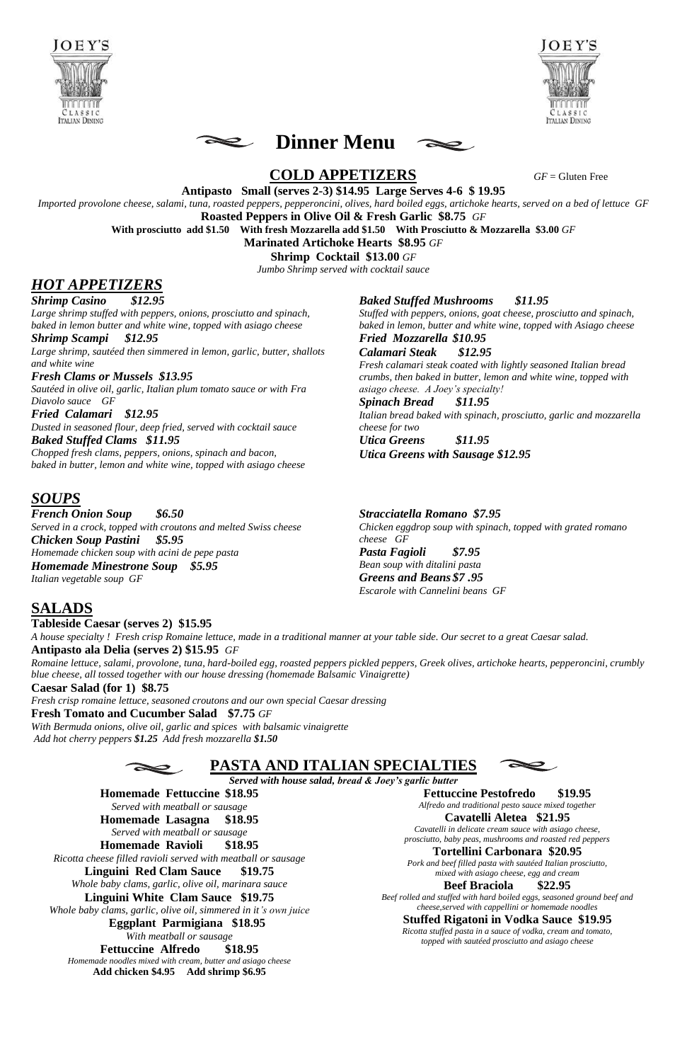





# **COLD APPETIZERS** *GF* = Gluten Free

**Antipasto Small (serves 2-3) \$14.95 Large Serves 4-6 \$ 19.95**

*Imported provolone cheese, salami, tuna, roasted peppers, pepperoncini, olives, hard boiled eggs, artichoke hearts, served on a bed of lettuce GF*

**Roasted Peppers in Olive Oil & Fresh Garlic \$8.75** *GF*

**With prosciutto add \$1.50 With fresh Mozzarella add \$1.50 With Prosciutto & Mozzarella \$3.00** *GF*

**Marinated Artichoke Hearts \$8.95** *GF*

**Shrimp Cocktail \$13.00** *GF*

*Jumbo Shrimp served with cocktail sauce* 

# *HOT APPETIZERS*

*Shrimp Casino \$12.95*

*Large shrimp stuffed with peppers, onions, prosciutto and spinach, baked in lemon butter and white wine, topped with asiago cheese*

*Shrimp Scampi \$12.95 Large shrimp, sautéed then simmered in lemon, garlic, butter, shallots and white wine*

*Fresh Clams or Mussels \$13.95 Sautéed in olive oil, garlic, Italian plum tomato sauce or with Fra Diavolo sauce GF*

*Fried Calamari \$12.95 Dusted in seasoned flour, deep fried, served with cocktail sauce Baked Stuffed Clams \$11.95*

*Chopped fresh clams, peppers, onions, spinach and bacon, baked in butter, lemon and white wine, topped with asiago cheese* *Baked Stuffed Mushrooms \$11.95*

*Stuffed with peppers, onions, goat cheese, prosciutto and spinach, baked in lemon, butter and white wine, topped with Asiago cheese*

# *Fried Mozzarella \$10.95*

*Calamari Steak \$12.95 Fresh calamari steak coated with lightly seasoned Italian bread crumbs, then baked in butter, lemon and white wine, topped with asiago cheese. A Joey's specialty!*

### *Spinach Bread \$11.95*

*Italian bread baked with spinach, prosciutto, garlic and mozzarella cheese for two*

*Utica Greens \$11.95 Utica Greens with Sausage \$12.95*

# *SOUPS*

*French Onion Soup \$6.50 Served in a crock, topped with croutons and melted Swiss cheese Chicken Soup Pastini \$5.95 Homemade chicken soup with acini de pepe pasta Homemade Minestrone Soup \$5.95 Italian vegetable soup GF*

# *Stracciatella Romano \$7.95*

*Chicken eggdrop soup with spinach, topped with grated romano cheese GF Pasta Fagioli \$7.95 Bean soup with ditalini pasta Greens and Beans \$7 .95 Escarole with Cannelini beans GF*

# **SALADS**

**Tableside Caesar (serves 2) \$15.95**

*A house specialty ! Fresh crisp Romaine lettuce, made in a traditional manner at your table side. Our secret to a great Caesar salad.* **Antipasto ala Delia (serves 2) \$15.95** *GF*

*Romaine lettuce, salami, provolone, tuna, hard-boiled egg, roasted peppers pickled peppers, Greek olives, artichoke hearts, pepperoncini, crumbly blue cheese, all tossed together with our house dressing (homemade Balsamic Vinaigrette)* 

#### **Caesar Salad (for 1) \$8.75**

*Fresh crisp romaine lettuce, seasoned croutons and our own special Caesar dressing*

**Fresh Tomato and Cucumber Salad \$7.75** *GF*

*With Bermuda onions, olive oil, garlic and spices with balsamic vinaigrette Add hot cherry peppers \$1.25 Add fresh mozzarella \$1.50*



**PASTA AND ITALIAN SPECIALTIES**



*Served with house salad, bread & Joey's garlic butter*

**Homemade Fettuccine \$18.95** *Served with meatball or sausage* **Homemade Lasagna \$18.95** *Served with meatball or sausage* **Homemade Ravioli \$18.95** *Ricotta cheese filled ravioli served with meatball or sausage* **Linguini Red Clam Sauce \$19.75** *Whole baby clams, garlic, olive oil, marinara sauce* **Linguini White Clam Sauce \$19.75** *Whole baby clams, garlic, olive oil, simmered in it's own juice*  **Eggplant Parmigiana \$18.95** *With meatball or sausage* **Fettuccine Alfredo \$18.95** *Homemade noodles mixed with cream, butter and asiago cheese* **Add chicken \$4.95 Add shrimp \$6.95**

**Fettuccine Pestofredo \$19.95**

*Alfredo and traditional pesto sauce mixed together*

#### **Cavatelli Aletea \$21.95**

*Cavatelli in delicate cream sauce with asiago cheese, prosciutto, baby peas, mushrooms and roasted red peppers*

## **Tortellini Carbonara \$20.95**

*Pork and beef filled pasta with sautéed Italian prosciutto, mixed with asiago cheese, egg and cream*

## **Beef Braciola \$22.95**

*Beef rolled and stuffed with hard boiled eggs, seasoned ground beef and cheese,served with cappellini or homemade noodles*

# **Stuffed Rigatoni in Vodka Sauce \$19.95**

*Ricotta stuffed pasta in a sauce of vodka, cream and tomato, topped with sautéed prosciutto and asiago cheese*